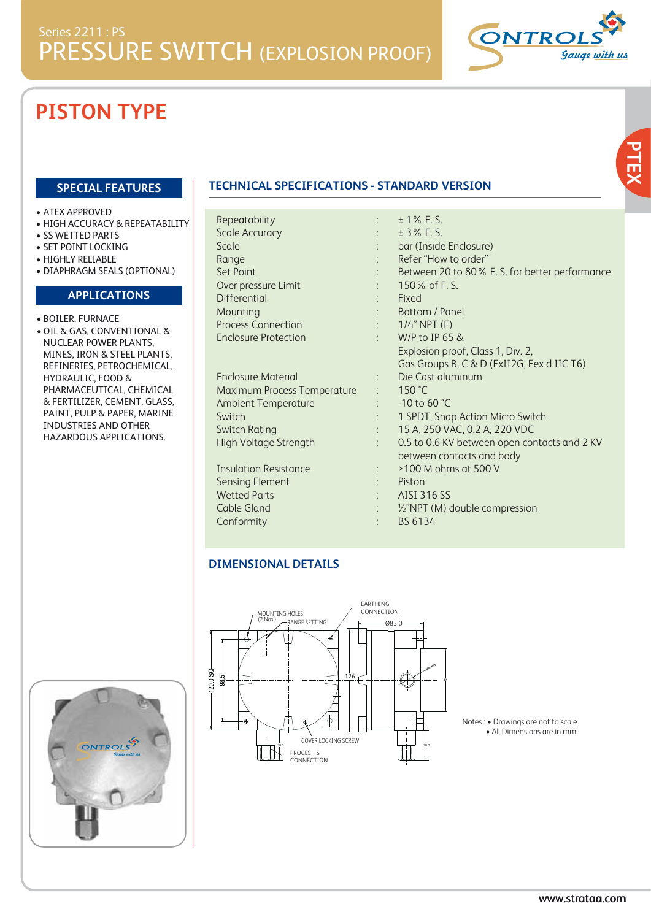Repeatability :



#### **SPECIAL FEATURES**

- ATEX APPROVED
- HIGH ACCURACY & REPEATABILITY
- SS WETTED PARTS
- SET POINT LOCKING
- HIGHLY RELIABLE
- DIAPHRAGM SEALS (OPTIONAL)

#### **APPLICATIONS**

- BOILER, FURNACE • OIL & GAS, CONVENTIONAL &
- NUCLEAR POWER PLANTS, MINES, IRON & STEEL PLANTS, REFINERIES, PETROCHEMICAL, HYDRAULIC, FOOD & PHARMACEUTICAL, CHEMICAL & FERTILIZER, CEMENT, GLASS, PAINT, PULP & PAPER, MARINE INDUSTRIES AND OTHER HAZARDOUS APPLICATIONS.

#### **TECHNICAL SPECIFICATIONS - STANDARD VERSION**

| <b>Scale Accuracy</b>              |  |
|------------------------------------|--|
| Scale                              |  |
| Range                              |  |
| Set Point                          |  |
| Over pressure Limit                |  |
| Differential                       |  |
| Mounting                           |  |
| <b>Process Connection</b>          |  |
| <b>Enclosure Protection</b>        |  |
|                                    |  |
| Enclosure Material                 |  |
| <b>Maximum Process Temperature</b> |  |
| <b>Ambient Temperature</b>         |  |
| Switch                             |  |
| Switch Rating                      |  |
| High Voltage Strength              |  |
|                                    |  |

Insulation Resistance : Sensing Element Wetted Parts Cable Gland **Conformity** 

| $± 1\%$ F.S.<br>$\pm 3\%$ F.S.<br>bar (Inside Enclosure) |  |
|----------------------------------------------------------|--|
|                                                          |  |
|                                                          |  |
|                                                          |  |
| Refer "How to order"                                     |  |
| Between 20 to 80% F. S. for better performance           |  |
| 150% of F.S.                                             |  |
| Fixed                                                    |  |
| Bottom / Panel                                           |  |
| : $1/4$ " NPT (F)                                        |  |
| $W/P$ to IP 65 &                                         |  |
| Explosion proof, Class 1, Div. 2,                        |  |
| Gas Groups B, C & D (ExII2G, Eex d IIC T6)               |  |
| Die Cast aluminum                                        |  |
| 150 °C                                                   |  |
| $-10$ to 60 °C                                           |  |
| 1 SPDT, Snap Action Micro Switch                         |  |
| 15 A, 250 VAC, 0.2 A, 220 VDC                            |  |
| 0.5 to 0.6 KV between open contacts and 2 KV             |  |
| between contacts and body                                |  |
| >100 M ohms at 500 V                                     |  |
| Piston                                                   |  |
| AISI 316 SS                                              |  |
| 1/2"NPT (M) double compression                           |  |
| BS 6134                                                  |  |

#### **DIMENSIONAL DETAILS**



Notes : • Drawings are not to scale. • All Dimensions are in mm.



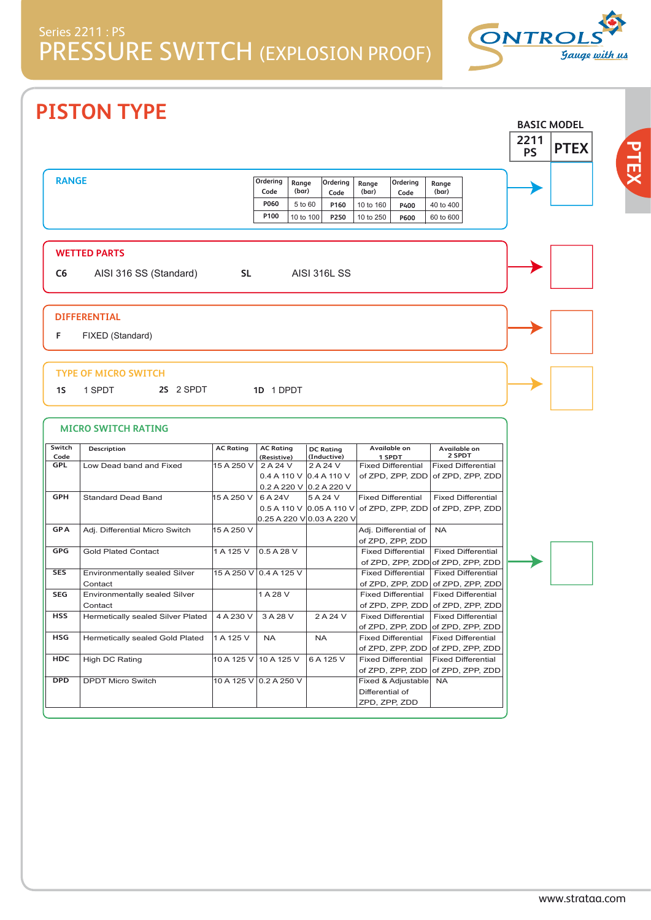

**PTEX**

# **PISTON TYPE**

|              |                                   |                        |                         |                |                              |                 |                                          |                                                                |                   | <b>BASIC MODEL</b> |
|--------------|-----------------------------------|------------------------|-------------------------|----------------|------------------------------|-----------------|------------------------------------------|----------------------------------------------------------------|-------------------|--------------------|
|              |                                   |                        |                         |                |                              |                 |                                          |                                                                | 2211<br><b>PS</b> | <b>PTEX</b>        |
| <b>RANGE</b> |                                   |                        | Ordering<br>Code        | Range<br>(bar) | Ordering<br>Code             | Range<br>(bar)  | Ordering<br>Code                         | Range<br>(bar)                                                 |                   |                    |
|              |                                   |                        | P060                    | 5 to 60        | P160                         | 10 to 160       | P400                                     | 40 to 400                                                      |                   |                    |
|              |                                   |                        | P100                    | 10 to 100      | P250                         | 10 to 250       | P600                                     | 60 to 600                                                      |                   |                    |
|              |                                   |                        |                         |                |                              |                 |                                          |                                                                |                   |                    |
|              | <b>WETTED PARTS</b>               |                        |                         |                |                              |                 |                                          |                                                                |                   |                    |
| C6           | AISI 316 SS (Standard)            | <b>SL</b>              |                         |                | <b>AISI 316L SS</b>          |                 |                                          |                                                                |                   |                    |
|              |                                   |                        |                         |                |                              |                 |                                          |                                                                |                   |                    |
|              | <b>DIFFERENTIAL</b>               |                        |                         |                |                              |                 |                                          |                                                                |                   |                    |
| F            | FIXED (Standard)                  |                        |                         |                |                              |                 |                                          |                                                                |                   |                    |
|              |                                   |                        |                         |                |                              |                 |                                          |                                                                |                   |                    |
|              | <b>MICRO SWITCH RATING</b>        |                        |                         |                |                              |                 |                                          |                                                                |                   |                    |
| Switch       | Description                       | <b>AC Rating</b>       | <b>AC Rating</b>        |                | <b>DC Rating</b>             |                 | Available on                             | Available on<br>2 SPDT                                         |                   |                    |
| Code<br>GPL  | Low Dead band and Fixed           | 15 A 250 V             | (Resistive)<br>2 A 24 V |                | (Inductive)<br>2 A 24 V      |                 | 1 SPDT<br><b>Fixed Differential</b>      | <b>Fixed Differential</b>                                      |                   |                    |
|              |                                   |                        |                         |                | 0.4 A 110 V $ 0.4 A 110 V$   |                 | of ZPD, ZPP, ZDD                         | of ZPD, ZPP, ZDD                                               |                   |                    |
|              |                                   |                        |                         |                | 0.2 A 220 V 0.2 A 220 V      |                 |                                          |                                                                |                   |                    |
| <b>GPH</b>   | <b>Standard Dead Band</b>         | 15 A 250 V             | 6 A 24V                 |                | 5 A 24 V                     |                 | <b>Fixed Differential</b>                | <b>Fixed Differential</b>                                      |                   |                    |
|              |                                   |                        |                         |                | $0.5$ A 110 V $0.05$ A 110 V |                 | of ZPD, ZPP, ZDD                         | of ZPD, ZPP, ZDD                                               |                   |                    |
|              |                                   |                        |                         |                | 0.25 A 220 V 0.03 A 220 V    |                 |                                          |                                                                |                   |                    |
| <b>GPA</b>   | Adj. Differential Micro Switch    | 15 A 250 V             |                         |                |                              |                 | Adj. Differential of<br>of ZPD, ZPP, ZDD | <b>NA</b>                                                      |                   |                    |
| <b>GPG</b>   | <b>Gold Plated Contact</b>        | 1 A 125 V              | 0.5 A 28 V              |                |                              |                 | <b>Fixed Differential</b>                | <b>Fixed Differential</b>                                      |                   |                    |
|              |                                   |                        |                         |                |                              |                 |                                          | of ZPD, ZPP, ZDD of ZPD, ZPP, ZDD                              |                   |                    |
| <b>SES</b>   | Environmentally sealed Silver     | 15 A 250 V 0.4 A 125 V |                         |                |                              |                 | <b>Fixed Differential</b>                | <b>Fixed Differential</b>                                      |                   |                    |
|              | Contact                           |                        |                         |                |                              |                 | of ZPD, ZPP, ZDD                         | of ZPD, ZPP, ZDD                                               |                   |                    |
| <b>SEG</b>   | Environmentally sealed Silver     |                        | 1 A 28 V                |                |                              |                 | <b>Fixed Differential</b>                | <b>Fixed Differential</b>                                      |                   |                    |
|              | Contact                           |                        |                         |                |                              |                 |                                          | of ZPD, ZPP, ZDD of ZPD, ZPP, ZDD                              |                   |                    |
| <b>HSS</b>   | Hermetically sealed Silver Plated | 4 A 230 V              | 3 A 28 V                |                | 2 A 24 V                     |                 | <b>Fixed Differential</b>                | <b>Fixed Differential</b>                                      |                   |                    |
|              |                                   |                        |                         |                |                              |                 | of ZPD, ZPP, ZDD                         | of ZPD, ZPP, ZDD                                               |                   |                    |
| HSG          | Hermetically sealed Gold Plated   | 1 A 125 V              | <b>NA</b>               |                | <b>NA</b>                    |                 | <b>Fixed Differential</b>                | <b>Fixed Differential</b><br>of ZPD, ZPP, ZDD of ZPD, ZPP, ZDD |                   |                    |
| HDC          | High DC Rating                    | 10 A 125 V             | 10 A 125 V              |                | 6 A 125 V                    |                 | <b>Fixed Differential</b>                | <b>Fixed Differential</b>                                      |                   |                    |
|              |                                   |                        |                         |                |                              |                 | of ZPD, ZPP, ZDD                         | of ZPD, ZPP, ZDD                                               |                   |                    |
| <b>DPD</b>   | <b>DPDT Micro Switch</b>          | 10 A 125 V 0.2 A 250 V |                         |                |                              |                 | Fixed & Adjustable                       | <b>NA</b>                                                      |                   |                    |
|              |                                   |                        |                         |                |                              | Differential of |                                          |                                                                |                   |                    |

ZPD, ZPP, ZDD